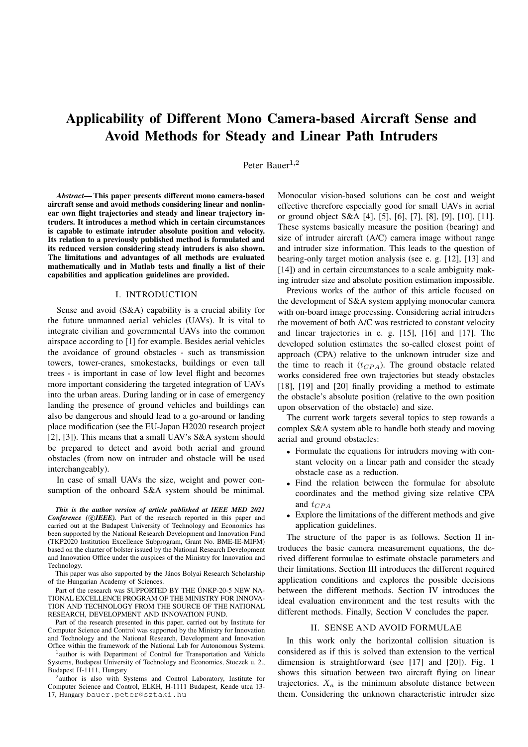# Applicability of Different Mono Camera-based Aircraft Sense and Avoid Methods for Steady and Linear Path Intruders

Peter Bauer $^{1,2}$ 

*Abstract*— This paper presents different mono camera-based aircraft sense and avoid methods considering linear and nonlinear own flight trajectories and steady and linear trajectory intruders. It introduces a method which in certain circumstances is capable to estimate intruder absolute position and velocity. Its relation to a previously published method is formulated and its reduced version considering steady intruders is also shown. The limitations and advantages of all methods are evaluated mathematically and in Matlab tests and finally a list of their capabilities and application guidelines are provided.

## I. INTRODUCTION

Sense and avoid (S&A) capability is a crucial ability for the future unmanned aerial vehicles (UAVs). It is vital to integrate civilian and governmental UAVs into the common airspace according to [1] for example. Besides aerial vehicles the avoidance of ground obstacles - such as transmission towers, tower-cranes, smokestacks, buildings or even tall trees - is important in case of low level flight and becomes more important considering the targeted integration of UAVs into the urban areas. During landing or in case of emergency landing the presence of ground vehicles and buildings can also be dangerous and should lead to a go-around or landing place modification (see the EU-Japan H2020 research project [2], [3]). This means that a small UAV's S&A system should be prepared to detect and avoid both aerial and ground obstacles (from now on intruder and obstacle will be used interchangeably).

In case of small UAVs the size, weight and power consumption of the onboard S&A system should be minimal.

*This is the author version of article published at IEEE MED 2021* **Conference** (CIEEE). Part of the research reported in this paper and carried out at the Budapest University of Technology and Economics has been supported by the National Research Development and Innovation Fund (TKP2020 Institution Excellence Subprogram, Grant No. BME-IE-MIFM) based on the charter of bolster issued by the National Research Development and Innovation Office under the auspices of the Ministry for Innovation and Technology.

This paper was also supported by the János Bolyai Research Scholarship of the Hungarian Academy of Sciences.

Part of the research was SUPPORTED BY THE ÚNKP-20-5 NEW NA-TIONAL EXCELLENCE PROGRAM OF THE MINISTRY FOR INNOVA-TION AND TECHNOLOGY FROM THE SOURCE OF THE NATIONAL RESEARCH, DEVELOPMENT AND INNOVATION FUND.

Part of the research presented in this paper, carried out by Institute for Computer Science and Control was supported by the Ministry for Innovation and Technology and the National Research, Development and Innovation Office within the framework of the National Lab for Autonomous Systems.

<sup>1</sup> author is with Department of Control for Transportation and Vehicle Systems, Budapest University of Technology and Economics, Stoczek u. 2., Budapest H-1111, Hungary

2 author is also with Systems and Control Laboratory, Institute for Computer Science and Control, ELKH, H-1111 Budapest, Kende utca 13- 17, Hungary bauer.peter@sztaki.hu

Monocular vision-based solutions can be cost and weight effective therefore especially good for small UAVs in aerial or ground object S&A [4], [5], [6], [7], [8], [9], [10], [11]. These systems basically measure the position (bearing) and size of intruder aircraft (A/C) camera image without range and intruder size information. This leads to the question of bearing-only target motion analysis (see e. g. [12], [13] and [14]) and in certain circumstances to a scale ambiguity making intruder size and absolute position estimation impossible.

Previous works of the author of this article focused on the development of S&A system applying monocular camera with on-board image processing. Considering aerial intruders the movement of both A/C was restricted to constant velocity and linear trajectories in e. g. [15], [16] and [17]. The developed solution estimates the so-called closest point of approach (CPA) relative to the unknown intruder size and the time to reach it  $(t_{CPA})$ . The ground obstacle related works considered free own trajectories but steady obstacles [18], [19] and [20] finally providing a method to estimate the obstacle's absolute position (relative to the own position upon observation of the obstacle) and size.

The current work targets several topics to step towards a complex S&A system able to handle both steady and moving aerial and ground obstacles:

- Formulate the equations for intruders moving with constant velocity on a linear path and consider the steady obstacle case as a reduction.
- Find the relation between the formulae for absolute coordinates and the method giving size relative CPA and  $t_{CPA}$
- Explore the limitations of the different methods and give application guidelines.

The structure of the paper is as follows. Section II introduces the basic camera measurement equations, the derived different formulae to estimate obstacle parameters and their limitations. Section III introduces the different required application conditions and explores the possible decisions between the different methods. Section IV introduces the ideal evaluation environment and the test results with the different methods. Finally, Section V concludes the paper.

# II. SENSE AND AVOID FORMULAE

In this work only the horizontal collision situation is considered as if this is solved than extension to the vertical dimension is straightforward (see [17] and [20]). Fig. 1 shows this situation between two aircraft flying on linear trajectories.  $X_a$  is the minimum absolute distance between them. Considering the unknown characteristic intruder size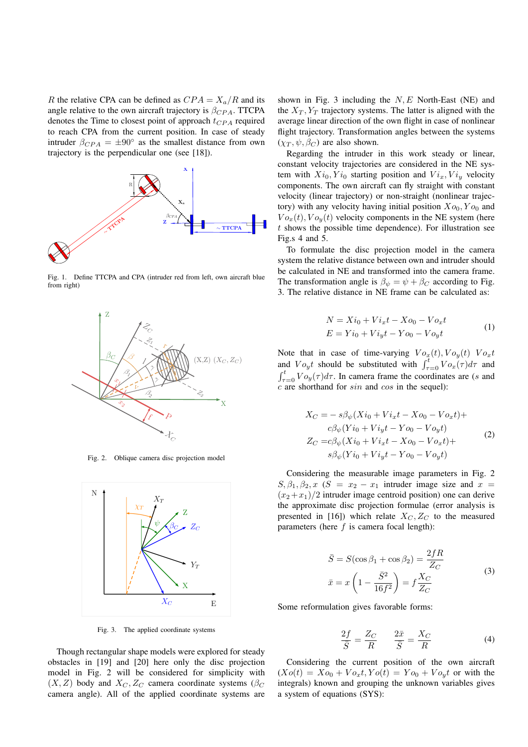R the relative CPA can be defined as  $CPA = X_a/R$  and its angle relative to the own aircraft trajectory is  $\beta_{CPA}$ . TTCPA denotes the Time to closest point of approach  $t_{CPA}$  required to reach CPA from the current position. In case of steady intruder  $\beta_{CPA} = \pm 90^{\circ}$  as the smallest distance from own trajectory is the perpendicular one (see [18]).



Fig. 1. Define TTCPA and CPA (intruder red from left, own aircraft blue from right)



Fig. 2. Oblique camera disc projection model



Fig. 3. The applied coordinate systems

shown in Fig. 3 including the  $N, E$  North-East (NE) and the  $X_T, Y_T$  trajectory systems. The latter is aligned with the average linear direction of the own flight in case of nonlinear flight trajectory. Transformation angles between the systems  $(\chi_T, \psi, \beta_C)$  are also shown.

Regarding the intruder in this work steady or linear, constant velocity trajectories are considered in the NE system with  $Xi_0, Y_{i_0}$  starting position and  $Vi_x, Vi_y$  velocity components. The own aircraft can fly straight with constant velocity (linear trajectory) or non-straight (nonlinear trajectory) with any velocity having initial position  $X_{0}$ ,  $Y_{0}$  and  $Vo_x(t)$ ,  $Vo_y(t)$  velocity components in the NE system (here  $t$  shows the possible time dependence). For illustration see Fig.s 4 and 5.

To formulate the disc projection model in the camera system the relative distance between own and intruder should be calculated in NE and transformed into the camera frame. The transformation angle is  $\beta_{\psi} = \psi + \beta_C$  according to Fig. 3. The relative distance in NE frame can be calculated as:

$$
N = Xi_0 + Vi_x t - Xo_0 - Vo_x t
$$
  
\n
$$
E = Yi_0 + Vi_y t - Yo_0 - Vo_y t
$$
\n(1)

Note that in case of time-varying  $Vo_x(t)$ ,  $Vo_y(t)$   $Vo_x t$ and  $V v_y t$  should be substituted with  $\int_{\tau=0}^t V v_x(\tau) d\tau$  and  $\int_{\tau=0}^{t} V \, o_y(\tau) d\tau$ . In camera frame the coordinates are (s and  $c$  are shorthand for  $sin$  and  $cos$  in the sequel):

$$
X_C = -s\beta_{\psi}(Xi_0 + Vi_xt - Xo_0 - Vo_xt) +
$$
  
\n
$$
c\beta_{\psi}(Yi_0 + Vi_yt - Yo_0 - Vo_yt)
$$
  
\n
$$
Z_C = c\beta_{\psi}(Xi_0 + Vi_xt - Xo_0 - Vo_xt) +
$$
  
\n
$$
s\beta_{\psi}(Yi_0 + Vi_yt - Yo_0 - Vo_yt)
$$
\n(2)

Considering the measurable image parameters in Fig. 2  $S, \beta_1, \beta_2, x$  ( $S = x_2 - x_1$  intruder image size and  $x =$  $(x_2 + x_1)/2$  intruder image centroid position) one can derive the approximate disc projection formulae (error analysis is presented in [16]) which relate  $X_C, Z_C$  to the measured parameters (here  $f$  is camera focal length):

$$
\bar{S} = S(\cos\beta_1 + \cos\beta_2) = \frac{2fR}{Z_C}
$$
  

$$
\bar{x} = x\left(1 - \frac{\bar{S}^2}{16f^2}\right) = f\frac{X_C}{Z_C}
$$
(3)

Some reformulation gives favorable forms:

$$
\frac{2f}{\overline{S}} = \frac{Z_C}{R} \qquad \frac{2\overline{x}}{\overline{S}} = \frac{X_C}{R} \tag{4}
$$

Though rectangular shape models were explored for steady obstacles in [19] and [20] here only the disc projection model in Fig. 2 will be considered for simplicity with  $(X, Z)$  body and  $X_C, Z_C$  camera coordinate systems ( $\beta_C$ camera angle). All of the applied coordinate systems are

Considering the current position of the own aircraft  $(Xo(t) = Xo_0 + Vo_x t, Yo(t) = Yo_0 + Vo_y t$  or with the integrals) known and grouping the unknown variables gives a system of equations (SYS):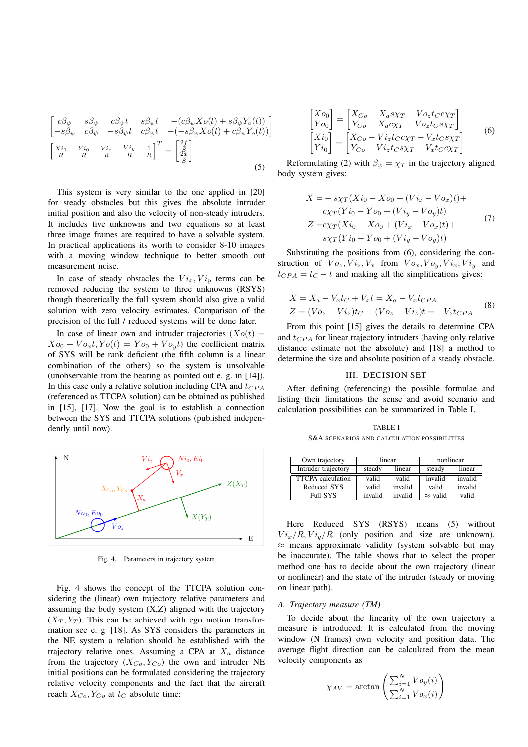$$
\begin{bmatrix}\n c\beta_{\psi} & s\beta_{\psi} & c\beta_{\psi}t & s\beta_{\psi}t & -(c\beta_{\psi}Xo(t) + s\beta_{\psi}Y_{o}(t)) \\
 -s\beta_{\psi} & c\beta_{\psi} & -s\beta_{\psi}t & c\beta_{\psi}t & -(-s\beta_{\psi}Xo(t) + c\beta_{\psi}Y_{o}(t))\n\end{bmatrix}
$$
\n
$$
\begin{bmatrix}\n \frac{Xi_{0}}{R} & \frac{Yi_{0}}{R} & \frac{Vi_{x}}{R} & \frac{Vi_{y}}{R} & \frac{1}{R}\n\end{bmatrix}^{T} = \begin{bmatrix}\n \frac{2f}{2\bar{x}} \\
 \frac{\bar{X}\bar{x}}{S}\n\end{bmatrix}
$$
\n(5)

This system is very similar to the one applied in [20] for steady obstacles but this gives the absolute intruder initial position and also the velocity of non-steady intruders. It includes five unknowns and two equations so at least three image frames are required to have a solvable system. In practical applications its worth to consider 8-10 images with a moving window technique to better smooth out measurement noise.

In case of steady obstacles the  $Vi_x, Vi_y$  terms can be removed reducing the system to three unknowns (RSYS) though theoretically the full system should also give a valid solution with zero velocity estimates. Comparison of the precision of the full / reduced systems will be done later.

In case of linear own and intruder trajectories  $(Xo(t))$  $Xo_0 + Vo_xt, Yo(t) = Yo_0 + Vo_yt$  the coefficient matrix of SYS will be rank deficient (the fifth column is a linear combination of the others) so the system is unsolvable (unobservable from the bearing as pointed out e. g. in [14]). In this case only a relative solution including CPA and  $t_{CPA}$ (referenced as TTCPA solution) can be obtained as published in [15], [17]. Now the goal is to establish a connection between the SYS and TTCPA solutions (published independently until now).



Fig. 4. Parameters in trajectory system

Fig. 4 shows the concept of the TTCPA solution considering the (linear) own trajectory relative parameters and assuming the body system (X,Z) aligned with the trajectory  $(X_T, Y_T)$ . This can be achieved with ego motion transformation see e. g. [18]. As SYS considers the parameters in the NE system a relation should be established with the trajectory relative ones. Assuming a CPA at  $X_a$  distance from the trajectory  $(X_{Co}, Y_{Co})$  the own and intruder NE initial positions can be formulated considering the trajectory relative velocity components and the fact that the aircraft reach  $X_{Co}$ ,  $Y_{Co}$  at  $t_{C}$  absolute time:

$$
\begin{bmatrix}\nXo_0 \\
Yo_0\n\end{bmatrix} =\n\begin{bmatrix}\nX_{Co} + X_a s \chi_T - V o_z t_C c \chi_T \\
Y_{Co} - X_a c \chi_T - V o_z t_C s \chi_T\n\end{bmatrix}\n\begin{bmatrix}\nXi_0 \\
Yi_0\n\end{bmatrix} =\n\begin{bmatrix}\nX_{Co} - V i_z t_C c \chi_T + V_x t_C s \chi_T \\
Y_{Co} - V i_z t_C s \chi_T - V_x t_C c \chi_T\n\end{bmatrix}
$$
\n(6)

Reformulating (2) with  $\beta_{\psi} = \chi_T$  in the trajectory aligned body system gives:

$$
X = -s\chi_T(Xi_0 - Xo_0 + (Vi_x - Vo_x)t) +\nc\chi_T(Yi_0 - Yo_0 + (Vi_y - Vo_y)t)\nZ = c\chi_T(Xi_0 - Xo_0 + (Vi_x - Vo_x)t) +\ns\chi_T(Yi_0 - Yo_0 + (Vi_y - Vo_y)t)
$$
\n(7)

Substituting the positions from (6), considering the construction of  $Vo_z$ ,  $Vi_z$ ,  $V_x$  from  $Vo_x$ ,  $Vo_y$ ,  $Vi_x$ ,  $Vi_y$  and  $t_{CPA} = t_C - t$  and making all the simplifications gives:

$$
X = X_a - V_x t_C + V_x t = X_a - V_x t_{CPA}
$$
  
\n
$$
Z = (Vo_z - Vi_z)t_C - (Vo_z - Vi_z)t = -V_z t_{CPA}
$$
 (8)

From this point [15] gives the details to determine CPA and  $t_{CPA}$  for linear trajectory intruders (having only relative distance estimate not the absolute) and [18] a method to determine the size and absolute position of a steady obstacle.

# III. DECISION SET

After defining (referencing) the possible formulae and listing their limitations the sense and avoid scenario and calculation possibilities can be summarized in Table I.

TABLE I S&A SCENARIOS AND CALCULATION POSSIBILITIES

| Own trajectory           | linear  |         | nonlinear       |         |
|--------------------------|---------|---------|-----------------|---------|
| Intruder trajectory      | steady  | linear  | steady          | linear  |
| <b>TTCPA</b> calculation | valid   | valid   | invalid         | invalid |
| Reduced SYS              | valid   | invalid | valid           | invalid |
| <b>Full SYS</b>          | invalid | invalid | $\approx$ valid | valid   |

Here Reduced SYS (RSYS) means (5) without  $Vi_x/R$ ,  $Vi_y/R$  (only position and size are unknown).  $\approx$  means approximate validity (system solvable but may be inaccurate). The table shows that to select the proper method one has to decide about the own trajectory (linear or nonlinear) and the state of the intruder (steady or moving on linear path).

#### *A. Trajectory measure (TM)*

To decide about the linearity of the own trajectory a measure is introduced. It is calculated from the moving window (N frames) own velocity and position data. The average flight direction can be calculated from the mean velocity components as

$$
\chi_{AV} = \arctan\left(\frac{\sum_{i=1}^{N} V o_y(i)}{\sum_{i=1}^{N} V o_x(i)}\right)
$$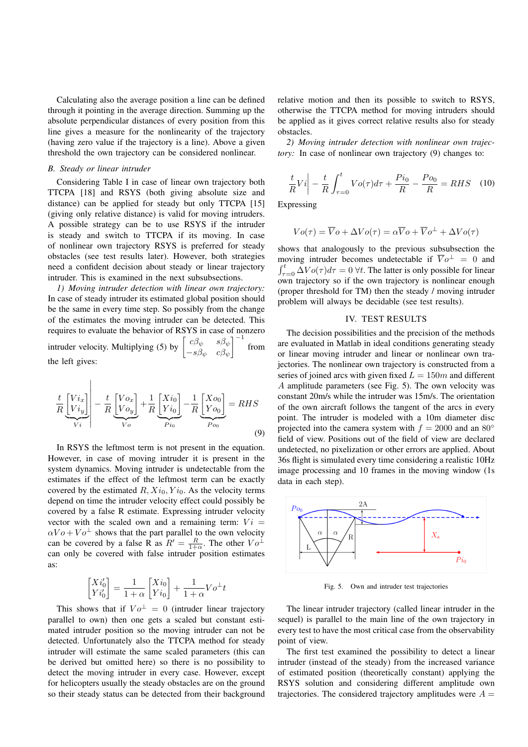Calculating also the average position a line can be defined through it pointing in the average direction. Summing up the absolute perpendicular distances of every position from this line gives a measure for the nonlinearity of the trajectory (having zero value if the trajectory is a line). Above a given threshold the own trajectory can be considered nonlinear.

# *B. Steady or linear intruder*

Considering Table I in case of linear own trajectory both TTCPA [18] and RSYS (both giving absolute size and distance) can be applied for steady but only TTCPA [15] (giving only relative distance) is valid for moving intruders. A possible strategy can be to use RSYS if the intruder is steady and switch to TTCPA if its moving. In case of nonlinear own trajectory RSYS is preferred for steady obstacles (see test results later). However, both strategies need a confident decision about steady or linear trajectory intruder. This is examined in the next subsubsections.

*1) Moving intruder detection with linear own trajectory:* In case of steady intruder its estimated global position should be the same in every time step. So possibly from the change of the estimates the moving intruder can be detected. This requires to evaluate the behavior of RSYS in case of nonzero intruder velocity. Multiplying (5) by  $\begin{bmatrix} c\beta_{\psi} & s\beta_{\psi} \\ s\beta_{\psi} & c\beta_{\psi} \end{bmatrix}$  $-s\beta_\psi$  c $\beta_\psi$  $\int^{-1}$  from the left gives:

$$
\frac{t}{R} \underbrace{\begin{bmatrix} Vi_x \\ Vi_y \end{bmatrix}}_{Vi} - \frac{t}{R} \underbrace{\begin{bmatrix} Vo_x \\ Vo_y \end{bmatrix}}_{Vo} + \frac{1}{R} \underbrace{\begin{bmatrix} Xi_0 \\ Yi_0 \end{bmatrix}}_{Pi_0} - \frac{1}{R} \underbrace{\begin{bmatrix} Xo_0 \\ Yo_0 \end{bmatrix}}_{Po_0} = RHS
$$
\n(9)

In RSYS the leftmost term is not present in the equation. However, in case of moving intruder it is present in the system dynamics. Moving intruder is undetectable from the estimates if the effect of the leftmost term can be exactly covered by the estimated  $R, X_{i_0}, Y_{i_0}$ . As the velocity terms depend on time the intruder velocity effect could possibly be covered by a false R estimate. Expressing intruder velocity vector with the scaled own and a remaining term:  $Vi =$  $\alpha V o + V o^{\perp}$  shows that the part parallel to the own velocity can be covered by a false R as  $R' = \frac{R}{1+\alpha}$ . The other  $V o^{\perp}$ can only be covered with false intruder position estimates as:

$$
\begin{bmatrix} Xi_0' \\ Yi_0' \end{bmatrix} = \frac{1}{1+\alpha} \begin{bmatrix} Xi_0 \\ Yi_0 \end{bmatrix} + \frac{1}{1+\alpha} Vo^{\perp}t
$$

This shows that if  $Vo^{\perp} = 0$  (intruder linear trajectory parallel to own) then one gets a scaled but constant estimated intruder position so the moving intruder can not be detected. Unfortunately also the TTCPA method for steady intruder will estimate the same scaled parameters (this can be derived but omitted here) so there is no possibility to detect the moving intruder in every case. However, except for helicopters usually the steady obstacles are on the ground so their steady status can be detected from their background relative motion and then its possible to switch to RSYS, otherwise the TTCPA method for moving intruders should be applied as it gives correct relative results also for steady obstacles.

*2) Moving intruder detection with nonlinear own trajectory*: In case of nonlinear own trajectory (9) changes to:

$$
\frac{t}{R}Vi\bigg| - \frac{t}{R} \int_{\tau=0}^{t} Vo(\tau)d\tau + \frac{Pi_0}{R} - \frac{Po_0}{R} = RHS \quad (10)
$$

Expressing

$$
Vo(\tau) = \overline{V}o + \Delta V o(\tau) = \alpha \overline{V}o + \overline{V}o^{\perp} + \Delta V o(\tau)
$$

shows that analogously to the previous subsubsection the moving intruder becomes undetectable if  $\overline{V}o^{\perp} = 0$  and  $\int_{\tau=0}^{t} \Delta V \mathcal{O}(\tau) d\tau = 0$   $\forall t$ . The latter is only possible for linear own trajectory so if the own trajectory is nonlinear enough (proper threshold for TM) then the steady / moving intruder problem will always be decidable (see test results).

# IV. TEST RESULTS

The decision possibilities and the precision of the methods are evaluated in Matlab in ideal conditions generating steady or linear moving intruder and linear or nonlinear own trajectories. The nonlinear own trajectory is constructed from a series of joined arcs with given fixed  $L = 150m$  and different A amplitude parameters (see Fig. 5). The own velocity was constant 20m/s while the intruder was 15m/s. The orientation of the own aircraft follows the tangent of the arcs in every point. The intruder is modeled with a 10m diameter disc projected into the camera system with  $f = 2000$  and an 80<sup>°</sup> field of view. Positions out of the field of view are declared undetected, no pixelization or other errors are applied. About 36s flight is simulated every time considering a realistic 10Hz image processing and 10 frames in the moving window (1s data in each step).



Fig. 5. Own and intruder test trajectories

The linear intruder trajectory (called linear intruder in the sequel) is parallel to the main line of the own trajectory in every test to have the most critical case from the observability point of view.

The first test examined the possibility to detect a linear intruder (instead of the steady) from the increased variance of estimated position (theoretically constant) applying the RSYS solution and considering different amplitude own trajectories. The considered trajectory amplitudes were  $A =$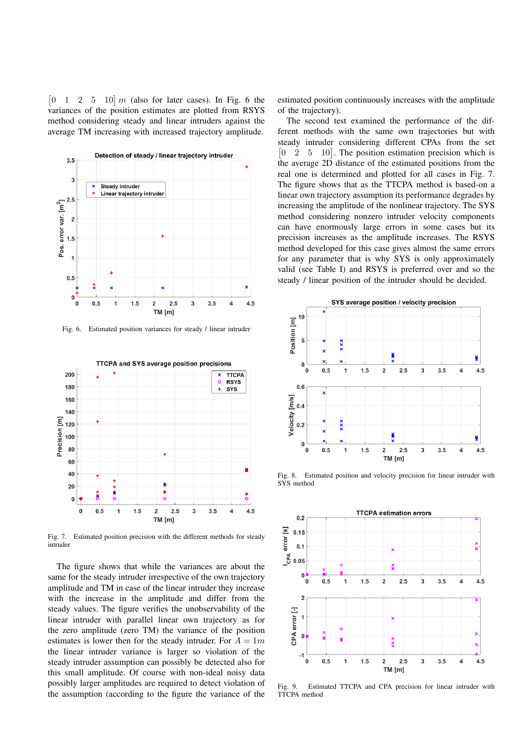$\begin{bmatrix} 0 & 1 & 2 & 5 & 10 \end{bmatrix}$  m (also for later cases). In Fig. 6 the variances of the position estimates are plotted from RSYS method considering steady and linear intruders against the average TM increasing with increased trajectory amplitude.



Fig. 6. Estimated position variances for steady / linear intruder



Fig. 7. Estimated position precision with the different methods for steady intruder

The figure shows that while the variances are about the same for the steady intruder irrespective of the own trajectory amplitude and TM in case of the linear intruder they increase with the increase in the amplitude and differ from the steady values. The figure verifies the unobservability of the linear intruder with parallel linear own trajectory as for the zero amplitude (zero TM) the variance of the position estimates is lower then for the steady intruder. For  $A = 1m$ the linear intruder variance is larger so violation of the steady intruder assumption can possibly be detected also for this small amplitude. Of course with non-ideal noisy data possibly larger amplitudes are required to detect violation of the assumption (according to the figure the variance of the

estimated position continuously increases with the amplitude of the trajectory).

The second test examined the performance of the different methods with the same own trajectories but with steady intruder considering different CPAs from the set [0 2 5 10]. The position estimation precision which is the average 2D distance of the estimated positions from the real one is determined and plotted for all cases in Fig. 7. The figure shows that as the TTCPA method is based-on a linear own trajectory assumption its performance degrades by increasing the amplitude of the nonlinear trajectory. The SYS method considering nonzero intruder velocity components can have enormously large errors in some cases but its precision increases as the amplitude increases. The RSYS method developed for this case gives almost the same errors for any parameter that is why SYS is only approximately valid (see Table I) and RSYS is preferred over and so the steady / linear position of the intruder should be decided.



Fig. 8. Estimated position and velocity precision for linear intruder with SYS method



Fig. 9. Estimated TTCPA and CPA precision for linear intruder with TTCPA method